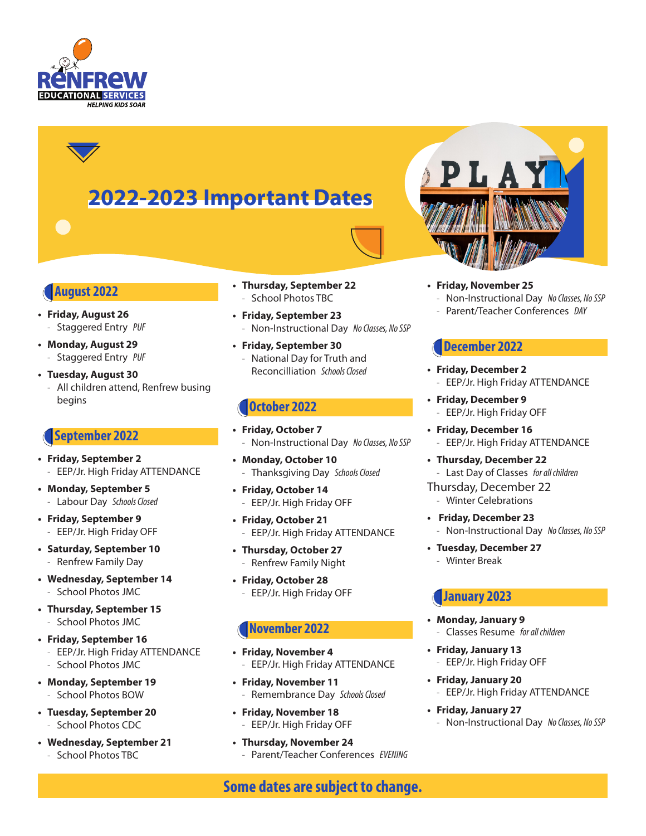

# **2022-2023 Important Dates**



## **August 2022**

- **• Friday, August 26** - Staggered Entry *PUF*
- **• Monday, August 29**
	- Staggered Entry *PUF*
- **• Tuesday, August 30**
	- All children attend, Renfrew busing begins

## **September 2022**

- **• Friday, September 2** - EEP/Jr. High Friday ATTENDANCE
- **• Monday, September 5** - Labour Day *Schools Closed*
- **• Friday, September 9** EEP/Jr. High Friday OFF
- **• Saturday, September 10** - Renfrew Family Day
- **• Wednesday, September 14** - School Photos JMC
- **• Thursday, September 15** - School Photos JMC
- **• Friday, September 16** - EEP/Jr. High Friday ATTENDANCE - School Photos JMC
- **• Monday, September 19** - School Photos BOW
- **• Tuesday, September 20** - School Photos CDC
- **• Wednesday, September 21** - School Photos TBC
- **• Thursday, September 22** School Photos TBC
- **• Friday, September 23** - Non-Instructional Day *No Classes, No SSP*
- **• Friday, September 30** - National Day for Truth and Reconcilliation *Schools Closed*

## **October 2022**

- **• Friday, October 7** - Non-Instructional Day *No Classes, No SSP*
- **• Monday, October 10** - Thanksgiving Day *Schools Closed*
- **• Friday, October 14** - EEP/Jr. High Friday OFF
- **• Friday, October 21** - EEP/Jr. High Friday ATTENDANCE
- **• Thursday, October 27** - Renfrew Family Night
- **• Friday, October 28** - EEP/Jr. High Friday OFF

## **November 2022**

- **• Friday, November 4** - EEP/Jr. High Friday ATTENDANCE
- **• Friday, November 11** - Remembrance Day *Schools Closed*
- **• Friday, November 18** - EEP/Jr. High Friday OFF
- **• Thursday, November 24** - Parent/Teacher Conferences *EVENING*

**• Friday, November 25**

- Non-Instructional Day *No Classes, No SSP*
- Parent/Teacher Conferences *DAY*

# **December 2022**

- **• Friday, December 2** - EEP/Jr. High Friday ATTENDANCE
- **• Friday, December 9** - EEP/Jr. High Friday OFF
- **• Friday, December 16** - EEP/Jr. High Friday ATTENDANCE
- **• Thursday, December 22** - Last Day of Classes *for all children*
- Thursday, December 22 - Winter Celebrations
- **Friday, December 23** - Non-Instructional Day *No Classes, No SSP*
- **• Tuesday, December 27** - Winter Break

# **January 2023**

- **• Monday, January 9** - Classes Resume *for all children*
- **• Friday, January 13** - EEP/Jr. High Friday OFF
- **• Friday, January 20** - EEP/Jr. High Friday ATTENDANCE
- **• Friday, January 27** - Non-Instructional Day *No Classes, No SSP*

**Some dates are subject to change.**